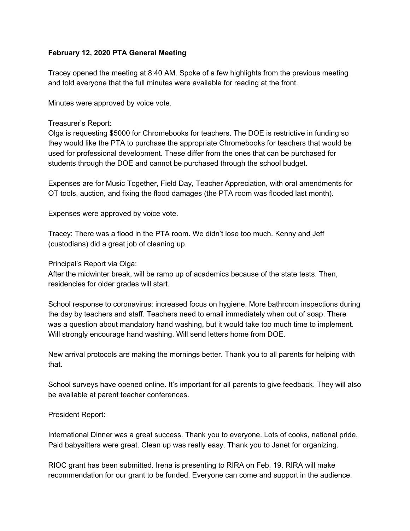## **February 12, 2020 PTA General Meeting**

Tracey opened the meeting at 8:40 AM. Spoke of a few highlights from the previous meeting and told everyone that the full minutes were available for reading at the front.

Minutes were approved by voice vote.

## Treasurer's Report:

Olga is requesting \$5000 for Chromebooks for teachers. The DOE is restrictive in funding so they would like the PTA to purchase the appropriate Chromebooks for teachers that would be used for professional development. These differ from the ones that can be purchased for students through the DOE and cannot be purchased through the school budget.

Expenses are for Music Together, Field Day, Teacher Appreciation, with oral amendments for OT tools, auction, and fixing the flood damages (the PTA room was flooded last month).

Expenses were approved by voice vote.

Tracey: There was a flood in the PTA room. We didn't lose too much. Kenny and Jeff (custodians) did a great job of cleaning up.

Principal's Report via Olga:

After the midwinter break, will be ramp up of academics because of the state tests. Then, residencies for older grades will start.

School response to coronavirus: increased focus on hygiene. More bathroom inspections during the day by teachers and staff. Teachers need to email immediately when out of soap. There was a question about mandatory hand washing, but it would take too much time to implement. Will strongly encourage hand washing. Will send letters home from DOE.

New arrival protocols are making the mornings better. Thank you to all parents for helping with that.

School surveys have opened online. It's important for all parents to give feedback. They will also be available at parent teacher conferences.

President Report:

International Dinner was a great success. Thank you to everyone. Lots of cooks, national pride. Paid babysitters were great. Clean up was really easy. Thank you to Janet for organizing.

RIOC grant has been submitted. Irena is presenting to RIRA on Feb. 19. RIRA will make recommendation for our grant to be funded. Everyone can come and support in the audience.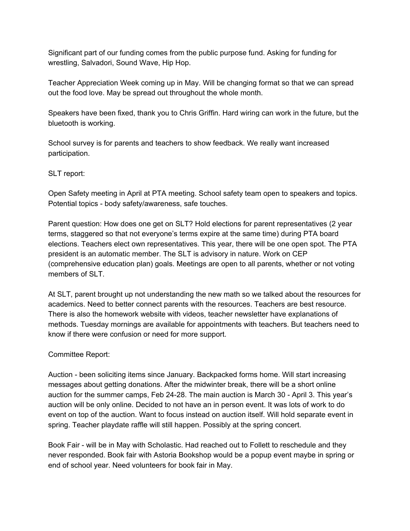Significant part of our funding comes from the public purpose fund. Asking for funding for wrestling, Salvadori, Sound Wave, Hip Hop.

Teacher Appreciation Week coming up in May. Will be changing format so that we can spread out the food love. May be spread out throughout the whole month.

Speakers have been fixed, thank you to Chris Griffin. Hard wiring can work in the future, but the bluetooth is working.

School survey is for parents and teachers to show feedback. We really want increased participation.

SLT report:

Open Safety meeting in April at PTA meeting. School safety team open to speakers and topics. Potential topics - body safety/awareness, safe touches.

Parent question: How does one get on SLT? Hold elections for parent representatives (2 year terms, staggered so that not everyone's terms expire at the same time) during PTA board elections. Teachers elect own representatives. This year, there will be one open spot. The PTA president is an automatic member. The SLT is advisory in nature. Work on CEP (comprehensive education plan) goals. Meetings are open to all parents, whether or not voting members of SLT.

At SLT, parent brought up not understanding the new math so we talked about the resources for academics. Need to better connect parents with the resources. Teachers are best resource. There is also the homework website with videos, teacher newsletter have explanations of methods. Tuesday mornings are available for appointments with teachers. But teachers need to know if there were confusion or need for more support.

## Committee Report:

Auction - been soliciting items since January. Backpacked forms home. Will start increasing messages about getting donations. After the midwinter break, there will be a short online auction for the summer camps, Feb 24-28. The main auction is March 30 - April 3. This year's auction will be only online. Decided to not have an in person event. It was lots of work to do event on top of the auction. Want to focus instead on auction itself. Will hold separate event in spring. Teacher playdate raffle will still happen. Possibly at the spring concert.

Book Fair - will be in May with Scholastic. Had reached out to Follett to reschedule and they never responded. Book fair with Astoria Bookshop would be a popup event maybe in spring or end of school year. Need volunteers for book fair in May.